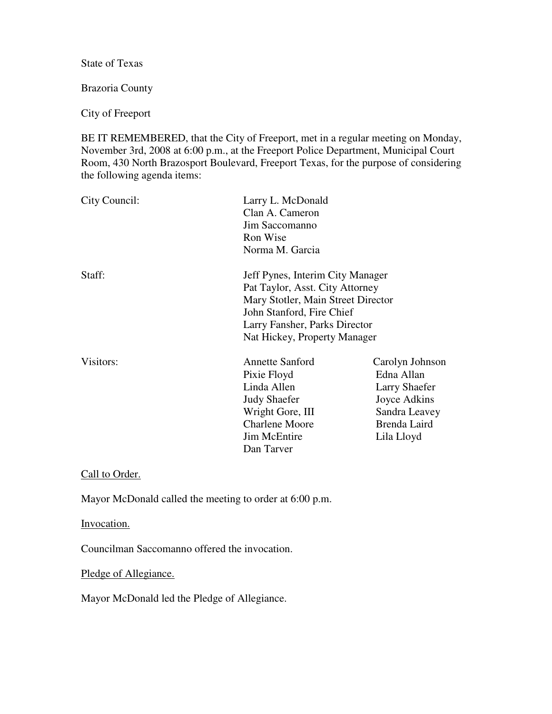State of Texas

Brazoria County

City of Freeport

BE IT REMEMBERED, that the City of Freeport, met in a regular meeting on Monday, November 3rd, 2008 at 6:00 p.m., at the Freeport Police Department, Municipal Court Room, 430 North Brazosport Boulevard, Freeport Texas, for the purpose of considering the following agenda items:

| City Council: | Larry L. McDonald<br>Clan A. Cameron<br>Jim Saccomanno<br>Ron Wise<br>Norma M. Garcia                                                                                                                   |                                                                                                                      |
|---------------|---------------------------------------------------------------------------------------------------------------------------------------------------------------------------------------------------------|----------------------------------------------------------------------------------------------------------------------|
| Staff:        | Jeff Pynes, Interim City Manager<br>Pat Taylor, Asst. City Attorney<br>Mary Stotler, Main Street Director<br>John Stanford, Fire Chief<br>Larry Fansher, Parks Director<br>Nat Hickey, Property Manager |                                                                                                                      |
| Visitors:     | <b>Annette Sanford</b><br>Pixie Floyd<br>Linda Allen<br><b>Judy Shaefer</b><br>Wright Gore, III<br><b>Charlene Moore</b><br><b>Jim McEntire</b><br>Dan Tarver                                           | Carolyn Johnson<br>Edna Allan<br><b>Larry Shaefer</b><br>Joyce Adkins<br>Sandra Leavey<br>Brenda Laird<br>Lila Lloyd |

Call to Order.

Mayor McDonald called the meeting to order at 6:00 p.m.

Invocation.

Councilman Saccomanno offered the invocation.

Pledge of Allegiance.

Mayor McDonald led the Pledge of Allegiance.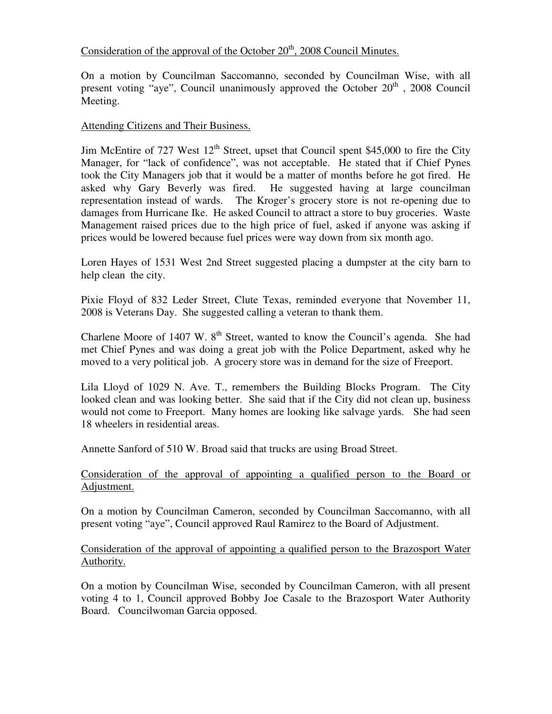# Consideration of the approval of the October  $20<sup>th</sup>$ , 2008 Council Minutes.

On a motion by Councilman Saccomanno, seconded by Councilman Wise, with all present voting "aye", Council unanimously approved the October  $20<sup>th</sup>$ , 2008 Council Meeting.

## Attending Citizens and Their Business.

Jim McEntire of 727 West 12<sup>th</sup> Street, upset that Council spent \$45,000 to fire the City Manager, for "lack of confidence", was not acceptable. He stated that if Chief Pynes took the City Managers job that it would be a matter of months before he got fired. He asked why Gary Beverly was fired. He suggested having at large councilman representation instead of wards. The Kroger's grocery store is not re-opening due to damages from Hurricane Ike. He asked Council to attract a store to buy groceries. Waste Management raised prices due to the high price of fuel, asked if anyone was asking if prices would be lowered because fuel prices were way down from six month ago.

Loren Hayes of 1531 West 2nd Street suggested placing a dumpster at the city barn to help clean the city.

Pixie Floyd of 832 Leder Street, Clute Texas, reminded everyone that November 11, 2008 is Veterans Day. She suggested calling a veteran to thank them.

Charlene Moore of 1407 W.  $8<sup>th</sup>$  Street, wanted to know the Council's agenda. She had met Chief Pynes and was doing a great job with the Police Department, asked why he moved to a very political job. A grocery store was in demand for the size of Freeport.

Lila Lloyd of 1029 N. Ave. T., remembers the Building Blocks Program. The City looked clean and was looking better. She said that if the City did not clean up, business would not come to Freeport. Many homes are looking like salvage yards. She had seen 18 wheelers in residential areas.

Annette Sanford of 510 W. Broad said that trucks are using Broad Street.

## Consideration of the approval of appointing a qualified person to the Board or Adjustment.

On a motion by Councilman Cameron, seconded by Councilman Saccomanno, with all present voting "aye", Council approved Raul Ramirez to the Board of Adjustment.

Consideration of the approval of appointing a qualified person to the Brazosport Water Authority.

On a motion by Councilman Wise, seconded by Councilman Cameron, with all present voting 4 to 1, Council approved Bobby Joe Casale to the Brazosport Water Authority Board. Councilwoman Garcia opposed.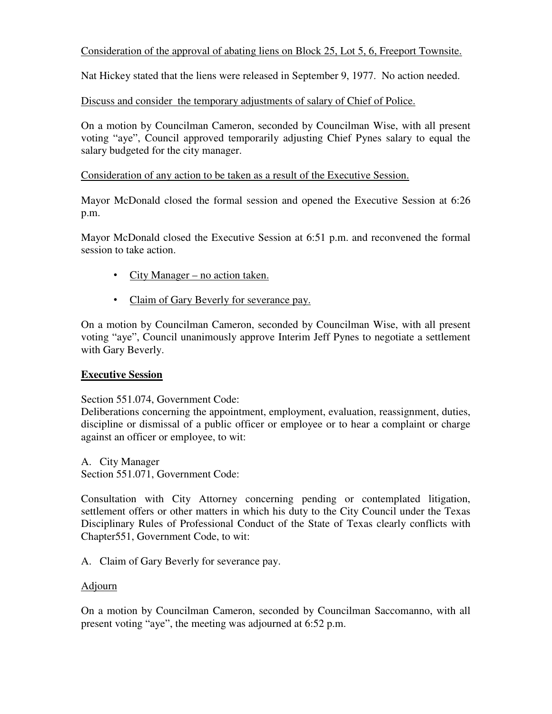## Consideration of the approval of abating liens on Block 25, Lot 5, 6, Freeport Townsite.

Nat Hickey stated that the liens were released in September 9, 1977. No action needed.

## Discuss and consider the temporary adjustments of salary of Chief of Police.

On a motion by Councilman Cameron, seconded by Councilman Wise, with all present voting "aye", Council approved temporarily adjusting Chief Pynes salary to equal the salary budgeted for the city manager.

## Consideration of any action to be taken as a result of the Executive Session.

Mayor McDonald closed the formal session and opened the Executive Session at 6:26 p.m.

Mayor McDonald closed the Executive Session at 6:51 p.m. and reconvened the formal session to take action.

- City Manager no action taken.
- Claim of Gary Beverly for severance pay.

On a motion by Councilman Cameron, seconded by Councilman Wise, with all present voting "aye", Council unanimously approve Interim Jeff Pynes to negotiate a settlement with Gary Beverly.

## **Executive Session**

Section 551.074, Government Code:

Deliberations concerning the appointment, employment, evaluation, reassignment, duties, discipline or dismissal of a public officer or employee or to hear a complaint or charge against an officer or employee, to wit:

A. City Manager Section 551.071, Government Code:

Consultation with City Attorney concerning pending or contemplated litigation, settlement offers or other matters in which his duty to the City Council under the Texas Disciplinary Rules of Professional Conduct of the State of Texas clearly conflicts with Chapter551, Government Code, to wit:

A. Claim of Gary Beverly for severance pay.

## Adjourn

On a motion by Councilman Cameron, seconded by Councilman Saccomanno, with all present voting "aye", the meeting was adjourned at 6:52 p.m.